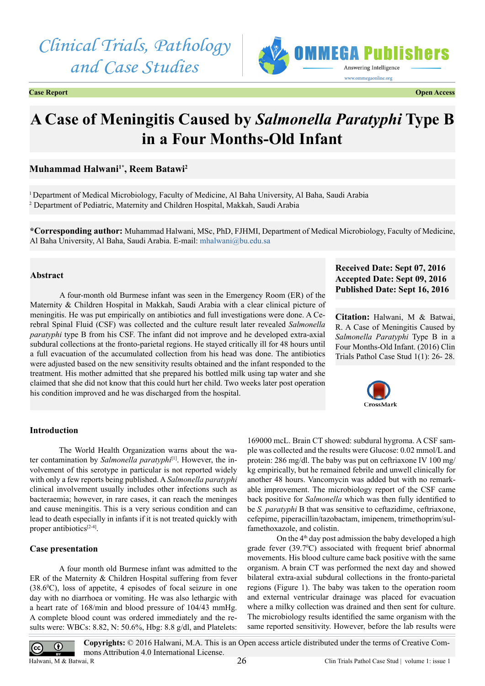# *Clinical Trials, Pathology and Case Studies*



**Case Report Open Access**

# **A Case of Meningitis Caused by** *Salmonella Paratyphi* **Type B in a Four Months-Old Infant**

# **Muhammad Halwani1\*, Reem Batawi2**

1 Department of Medical Microbiology, Faculty of Medicine, Al Baha University, Al Baha, Saudi Arabia 2 Department of Pediatric, Maternity and Children Hospital, Makkah, Saudi Arabia

**\*Corresponding author:** Muhammad Halwani, MSc, PhD, FJHMI, Department of Medical Microbiology, Faculty of Medicine, Al Baha University, Al Baha, Saudi Arabia. E-mail: [mhalwani@bu.edu.sa](mailto:mhalwani@bu.edu.sa)

# **Abstract**

A four-month old Burmese infant was seen in the Emergency Room (ER) of the Maternity & Children Hospital in Makkah, Saudi Arabia with a clear clinical picture of meningitis. He was put empirically on antibiotics and full investigations were done. A Cerebral Spinal Fluid (CSF) was collected and the culture result later revealed *Salmonella paratyphi* type B from his CSF. The infant did not improve and he developed extra-axial subdural collections at the fronto-parietal regions. He stayed critically ill for 48 hours until a full evacuation of the accumulated collection from his head was done. The antibiotics were adjusted based on the new sensitivity results obtained and the infant responded to the treatment. His mother admitted that she prepared his bottled milk using tap water and she claimed that she did not know that this could hurt her child. Two weeks later post operation his condition improved and he was discharged from the hospital.

# **Received Date: Sept 07, 2016 Accepted Date: Sept 09, 2016 Published Date: Sept 16, 2016**

**Citation:** Halwani, M & Batwai, R. A Case of Meningitis Caused by *Salmonella Paratyphi* Type B in a Four Months-Old Infant. (2016) Clin Trials Pathol Case Stud 1(1): 26- 28.



### **Introduction**

The World Health Organization warns about the water contamination by *Salmonella paratyphi*<sup>[\[1\]](#page-2-0)</sup>. However, the involvement of this serotype in particular is not reported widely with only a few reports being published. A *Salmonella paratyphi*  clinical involvement usually includes other infections such as bacteraemia; however, in rare cases, it can reach the meninges and cause meningitis. This is a very serious condition and can lead to death especially in infants if it is not treated quickly with proper antibiotics<sup>[\[2-4\]](#page-2-1)</sup>.

### **Case presentation**

 $\odot$ 

(cc

A four month old Burmese infant was admitted to the ER of the Maternity & Children Hospital suffering from fever  $(38.6\degree C)$ , loss of appetite, 4 episodes of focal seizure in one day with no diarrhoea or vomiting. He was also lethargic with a heart rate of 168/min and blood pressure of 104/43 mmHg. A complete blood count was ordered immediately and the results were: WBCs: 8.82, N: 50.6%, Hbg: 8.8 g/dl, and Platelets:

169000 mcL. Brain CT showed: subdural hygroma. A CSF sample was collected and the results were Glucose: 0.02 mmol/L and protein: 286 mg/dl. The baby was put on ceftriaxone IV 100 mg/ kg empirically, but he remained febrile and unwell clinically for another 48 hours. Vancomycin was added but with no remarkable improvement. The microbiology report of the CSF came back positive for *Salmonella* which was then fully identified to be *S. paratyphi* B that was sensitive to ceftazidime, ceftriaxone, cefepime, piperacillin/tazobactam, imipenem, trimethoprim/sulfamethoxazole, and colistin.

On the  $4<sup>th</sup>$  day post admission the baby developed a high grade fever (39.7°C) associated with frequent brief abnormal movements. His blood culture came back positive with the same organism. A brain CT was performed the next day and showed bilateral extra-axial subdural collections in the fronto-parietal regions (Figure 1). The baby was taken to the operation room and external ventricular drainage was placed for evacuation where a milky collection was drained and then sent for culture. The microbiology results identified the same organism with the same reported sensitivity. However, before the lab results were

**Copyrights:** © 2016 Halwani, M.A. This is an Open access article distributed under the terms of Creative Commons Attribution 4.0 International License. 26 Halwani, M & Batwai, R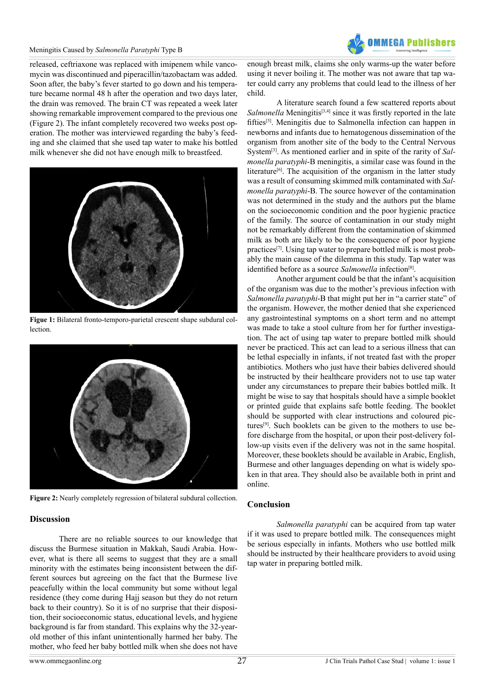#### Meningitis Caused by *Salmonella Paratyphi* Type B



released, ceftriaxone was replaced with imipenem while vancomycin was discontinued and piperacillin/tazobactam was added. Soon after, the baby's fever started to go down and his temperature became normal 48 h after the operation and two days later, the drain was removed. The brain CT was repeated a week later showing remarkable improvement compared to the previous one (Figure 2). The infant completely recovered two weeks post operation. The mother was interviewed regarding the baby's feeding and she claimed that she used tap water to make his bottled milk whenever she did not have enough milk to breastfeed.



**Figue 1:** Bilateral fronto-temporo-parietal crescent shape subdural collection.



**Figure 2:** Nearly completely regression of bilateral subdural collection.

# **Discussion**

There are no reliable sources to our knowledge that discuss the Burmese situation in Makkah, Saudi Arabia. However, what is there all seems to suggest that they are a small minority with the estimates being inconsistent between the different sources but agreeing on the fact that the Burmese live peacefully within the local community but some without legal residence (they come during Hajj season but they do not return back to their country). So it is of no surprise that their disposition, their socioeconomic status, educational levels, and hygiene background is far from standard. This explains why the 32-yearold mother of this infant unintentionally harmed her baby. The mother, who feed her baby bottled milk when she does not have

enough breast milk, claims she only warms-up the water before using it never boiling it. The mother was not aware that tap water could carry any problems that could lead to the illness of her child.

A literature search found a few scattered reports about *Salmonella* Meningitis<sup>[\[3,4\]](#page-2-2)</sup> since it was firstly reported in the late fifties<sup>[\[5\]](#page-2-3)</sup>. Meningitis due to Salmonella infection can happen in newborns and infants due to hematogenous dissemination of the organism from another site of the body to the Central Nervous Syste[m\[3\].](#page-2-2) As mentioned earlier and in spite of the rarity of *Salmonella paratyphi*-B meningitis, a similar case was found in the literature<sup>[6]</sup>. The acquisition of the organism in the latter study was a result of consuming skimmed milk contaminated with *Salmonella paratyphi*-B. The source however of the contamination was not determined in the study and the authors put the blame on the socioeconomic condition and the poor hygienic practice of the family. The source of contamination in our study might not be remarkably different from the contamination of skimmed milk as both are likely to be the consequence of poor hygiene practices<sup>[7]</sup>. Using tap water to prepare bottled milk is most probably the main cause of the dilemma in this study. Tap water was identified before as a source *Salmonella* infection<sup>[8]</sup>.

Another argument could be that the infant's acquisition of the organism was due to the mother's previous infection with *Salmonella paratyphi*-B that might put her in "a carrier state" of the organism. However, the mother denied that she experienced any gastrointestinal symptoms on a short term and no attempt was made to take a stool culture from her for further investigation. The act of using tap water to prepare bottled milk should never be practiced. This act can lead to a serious illness that can be lethal especially in infants, if not treated fast with the proper antibiotics. Mothers who just have their babies delivered should be instructed by their healthcare providers not to use tap water under any circumstances to prepare their babies bottled milk. It might be wise to say that hospitals should have a simple booklet or printed guide that explains safe bottle feeding. The booklet should be supported with clear instructions and coloured pictures<sup>[9]</sup>. Such booklets can be given to the mothers to use before discharge from the hospital, or upon their post-delivery follow-up visits even if the delivery was not in the same hospital. Moreover, these booklets should be available in Arabic, English, Burmese and other languages depending on what is widely spoken in that area. They should also be available both in print and online.

# **Conclusion**

*Salmonella paratyphi* can be acquired from tap water if it was used to prepare bottled milk. The consequences might be serious especially in infants. Mothers who use bottled milk should be instructed by their healthcare providers to avoid using tap water in preparing bottled milk.